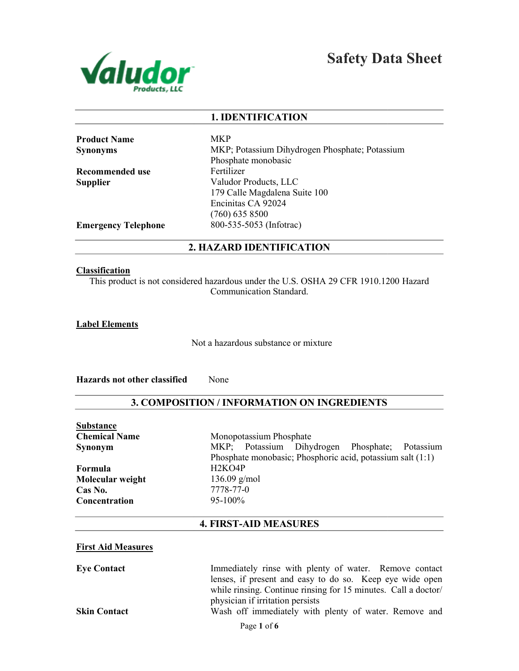

Safety Data Sheet

#### 1. IDENTIFICATION

Product Name Synonyms

Recommended use Supplier

MKP MKP; Potassium Dihydrogen Phosphate; Potassium Phosphate monobasic Fertilizer Valudor Products, LLC 179 Calle Magdalena Suite 100 Encinitas CA 92024 (760) 635 8500 800-535-5053 (Infotrac) MKP; Potassium Dihydrogen Phosphate; Potassium<br>Phosphate monobasic<br>Fertilizer<br>Valudor Products, LLC<br>179 Calle Magdalena Suite 100<br>Encinitas CA 92024<br>(760) 635 8500<br>800-535-5053 (Infotrac)<br>**ZARD IDENTIFICATION** 

Emergency Telephone

## 2. HAZARD IDENTIFICATION

#### Classification

This product is not considered hazardous under the U.S. OSHA 29 CFR 1910.1200<br>Communication Standard.

Label Elements

Not a hazardous substance or mixture

Hazards not other classified None

# 3. COMPOSITION / INFORMATION ON INGREDIENTS

Substance Chemical Name Synonym

Formula Molecular weight Cas No. **Concentration** 

Monopotassium Phosphate MKP; Potassium Dihydrogen Phosphate; Potassium Phosphate monobasic; Phosphoric acid, potassium salt (1:1) H2KO4P 136.09 g/mol 7778-77-0 95-100% Phosphate monobasic; Phosphoric acid, potassium salt (1:1)<br>
H2KO4P<br>
136.09 g/mol<br>
7778-77-0<br>
95-100%<br>
FIRST-AID MEASURES<br>
Immediately rinse with plenty of water. Remove contact

Immediately rinse with plenty of water. Remove contact lenses, if present and easy to do so. Keep eye wide open while rinsing. Continue rinsing for 15 minutes. Call a doctor/

Wash off immediately with plenty of water. Remove and

## 4. FIRST-AID MEASURES

#### First Aid Measures

Eye Contact

Skin Contact

physician if irritation persists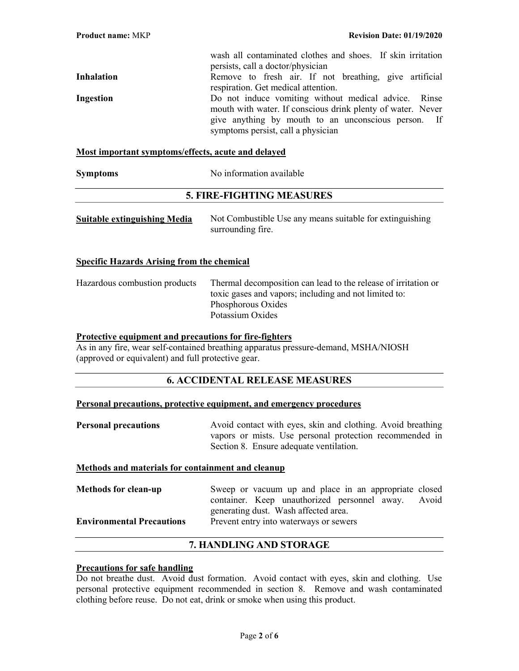wash all contaminated clothes and shoes. If skin irritation persists, call a doctor/physician Inhalation **Remove to fresh air.** If not breathing, give artificial respiration. Get medical attention. Ingestion Do not induce vomiting without medical advice. Rinse mouth with water. If conscious drink plenty of water. Never give anything by mouth to an unconscious person. If symptoms persist, call a physician

## Most important symptoms/effects, acute and delayed

Symptoms No information available

## 5. FIRE-FIGHTING MEASURES

| <b>Suitable extinguishing Media</b> | Not Combustible Use any means suitable for extinguishing |
|-------------------------------------|----------------------------------------------------------|
|                                     | surrounding fire.                                        |

## Specific Hazards Arising from the chemical

Hazardous combustion products Thermal decomposition can lead to the release of irritation or toxic gases and vapors; including and not limited to: Phosphorous Oxides Potassium Oxides

#### Protective equipment and precautions for fire-fighters

As in any fire, wear self-contained breathing apparatus pressure-demand, MSHA/NIOSH (approved or equivalent) and full protective gear.

## 6. ACCIDENTAL RELEASE MEASURES

#### Personal precautions, protective equipment, and emergency procedures

**Personal precautions** Avoid contact with eyes, skin and clothing. Avoid breathing vapors or mists. Use personal protection recommended in Section 8. Ensure adequate ventilation.

#### Methods and materials for containment and cleanup

Methods for clean-up Sweep or vacuum up and place in an appropriate closed container. Keep unauthorized personnel away. Avoid generating dust. Wash affected area. Environmental Precautions Prevent entry into waterways or sewers

## 7. HANDLING AND STORAGE

#### Precautions for safe handling

Do not breathe dust. Avoid dust formation. Avoid contact with eyes, skin and clothing. Use personal protective equipment recommended in section 8. Remove and wash contaminated clothing before reuse. Do not eat, drink or smoke when using this product.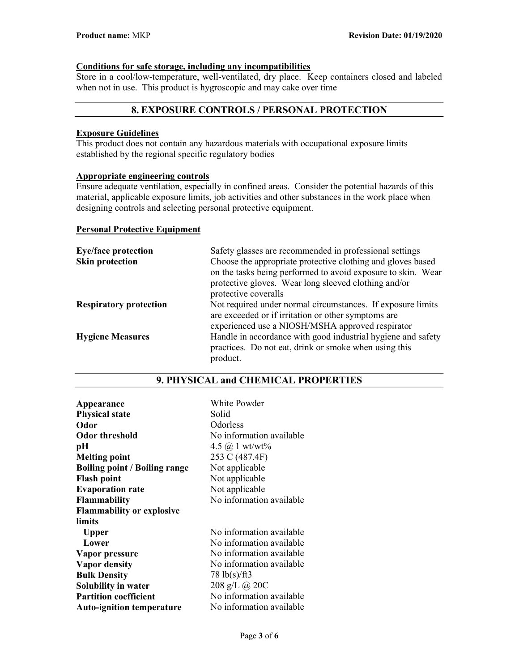# Conditions for safe storage, including any incompatibilities

Store in a cool/low-temperature, well-ventilated, dry place. Keep containers closed and labeled when not in use. This product is hygroscopic and may cake over time

# 8. EXPOSURE CONTROLS / PERSONAL PROTECTION

## Exposure Guidelines

This product does not contain any hazardous materials with occupational exposure limits established by the regional specific regulatory bodies

# Appropriate engineering controls

Ensure adequate ventilation, especially in confined areas. Consider the potential hazards of this material, applicable exposure limits, job activities and other substances in the work place when designing controls and selecting personal protective equipment.

#### Personal Protective Equipment

| <b>Eye/face protection</b>    | Safety glasses are recommended in professional settings      |
|-------------------------------|--------------------------------------------------------------|
| <b>Skin protection</b>        | Choose the appropriate protective clothing and gloves based  |
|                               | on the tasks being performed to avoid exposure to skin. Wear |
|                               | protective gloves. Wear long sleeved clothing and/or         |
|                               | protective coveralls                                         |
| <b>Respiratory protection</b> | Not required under normal circumstances. If exposure limits  |
|                               | are exceeded or if irritation or other symptoms are          |
|                               | experienced use a NIOSH/MSHA approved respirator             |
| <b>Hygiene Measures</b>       | Handle in accordance with good industrial hygiene and safety |
|                               | practices. Do not eat, drink or smoke when using this        |
|                               | product.                                                     |

| Appearance                           | White Powder                  |
|--------------------------------------|-------------------------------|
| <b>Physical state</b>                | Solid                         |
| Odor                                 | Odorless                      |
| <b>Odor threshold</b>                | No information available      |
| pН                                   | 4.5 $\omega$ 1 wt/wt%         |
| <b>Melting point</b>                 | 253 C (487.4F)                |
| <b>Boiling point / Boiling range</b> | Not applicable                |
| <b>Flash point</b>                   | Not applicable                |
| <b>Evaporation rate</b>              | Not applicable                |
| <b>Flammability</b>                  | No information available      |
| <b>Flammability or explosive</b>     |                               |
| limits                               |                               |
| <b>Upper</b>                         | No information available      |
| Lower                                | No information available      |
| Vapor pressure                       | No information available      |
| <b>Vapor density</b>                 | No information available      |
| <b>Bulk Density</b>                  | $78 \text{ lb}(s)/\text{ft}3$ |
| Solubility in water                  | 208 g/L @ 20C                 |
| <b>Partition coefficient</b>         | No information available      |
| <b>Auto-ignition temperature</b>     | No information available      |

## 9. PHYSICAL and CHEMICAL PROPERTIES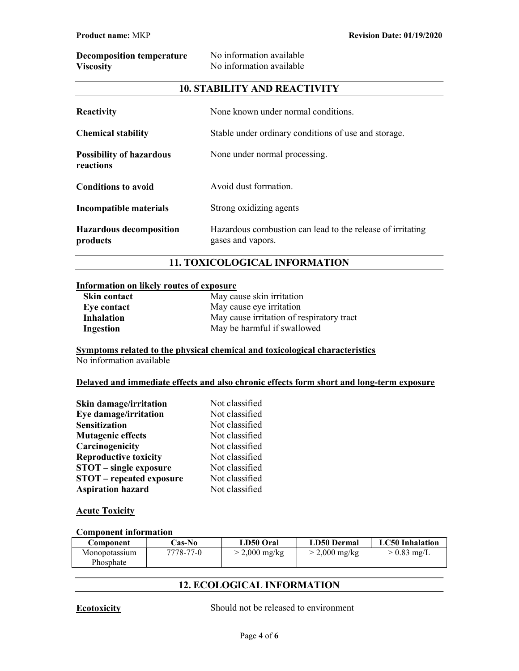| <b>Decomposition temperature</b> | No information available |
|----------------------------------|--------------------------|
| <b>Viscosity</b>                 | No information available |

## 10. STABILITY AND REACTIVITY

| Reactivity                                   | None known under normal conditions.                                             |
|----------------------------------------------|---------------------------------------------------------------------------------|
| <b>Chemical stability</b>                    | Stable under ordinary conditions of use and storage.                            |
| <b>Possibility of hazardous</b><br>reactions | None under normal processing.                                                   |
| <b>Conditions to avoid</b>                   | Avoid dust formation.                                                           |
| Incompatible materials                       | Strong oxidizing agents                                                         |
| <b>Hazardous decomposition</b><br>products   | Hazardous combustion can lead to the release of irritating<br>gases and vapors. |

# 11. TOXICOLOGICAL INFORMATION

#### Information on likely routes of exposure

| <b>Skin contact</b> | May cause skin irritation                 |
|---------------------|-------------------------------------------|
| Eye contact         | May cause eye irritation                  |
| Inhalation          | May cause irritation of respiratory tract |
| Ingestion           | May be harmful if swallowed               |

Symptoms related to the physical chemical and toxicological characteristics No information available

## Delayed and immediate effects and also chronic effects form short and long-term exposure

| <b>Skin damage/irritation</b>   | Not classified |
|---------------------------------|----------------|
| Eye damage/irritation           | Not classified |
| <b>Sensitization</b>            | Not classified |
| <b>Mutagenic effects</b>        | Not classified |
| Carcinogenicity                 | Not classified |
| <b>Reproductive toxicity</b>    | Not classified |
| $STOT$ – single exposure        | Not classified |
| <b>STOT</b> – repeated exposure | Not classified |
| <b>Aspiration hazard</b>        | Not classified |

#### **Acute Toxicity**

## Component information

| Component     | <b>Cas-No</b> | LD50 Oral       | LD50 Dermal     | LC50 Inhalation |
|---------------|---------------|-----------------|-----------------|-----------------|
| Monopotassium | 7778-77-0     | $>$ 2,000 mg/kg | $>$ 2,000 mg/kg | $> 0.83$ mg/L   |
| Phosphate     |               |                 |                 |                 |

# 12. ECOLOGICAL INFORMATION

Ecotoxicity Should not be released to environment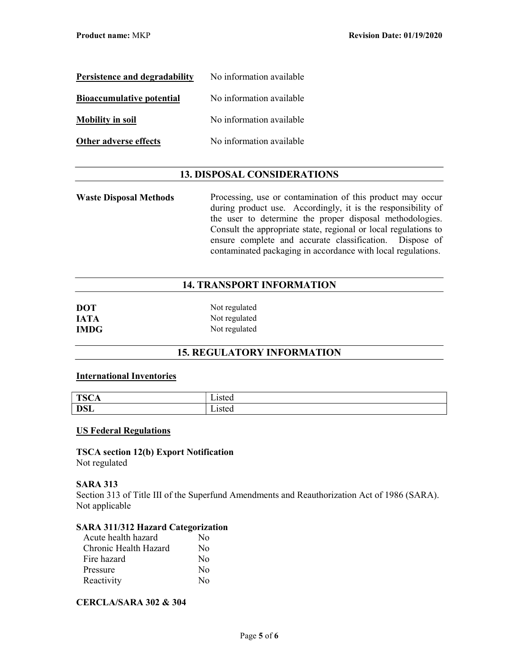| Persistence and degradability    | No information available |
|----------------------------------|--------------------------|
| <b>Bioaccumulative potential</b> | No information available |
| <b>Mobility in soil</b>          | No information available |
| Other adverse effects            | No information available |

# 13. DISPOSAL CONSIDERATIONS

Waste Disposal Methods Processing, use or contamination of this product may occur during product use. Accordingly, it is the responsibility of the user to determine the proper disposal methodologies. Consult the appropriate state, regional or local regulations to ensure complete and accurate classification. Dispose of contaminated packaging in accordance with local regulations.

## 14. TRANSPORT INFORMATION

| <b>DOT</b>  | Not regulated |
|-------------|---------------|
| <b>IATA</b> | Not regulated |
| <b>IMDG</b> | Not regulated |

# 15. REGULATORY INFORMATION

#### International Inventories

| TCA<br>״<br>1212<br>* ∾ | - .<br>∟ısted           |
|-------------------------|-------------------------|
| DCL<br><b>DOL</b>       | - .<br>1sted<br>Listeti |

#### US Federal Regulations

TSCA section 12(b) Export Notification Not regulated

#### SARA 313

Section 313 of Title III of the Superfund Amendments and Reauthorization Act of 1986 (SARA). Not applicable

## SARA 311/312 Hazard Categorization

| Acute health hazard   | Nο               |
|-----------------------|------------------|
| Chronic Health Hazard | No               |
| Fire hazard           | No               |
| Pressure              | No               |
| Reactivity            | $\rm N_{\Omega}$ |

## CERCLA/SARA 302 & 304